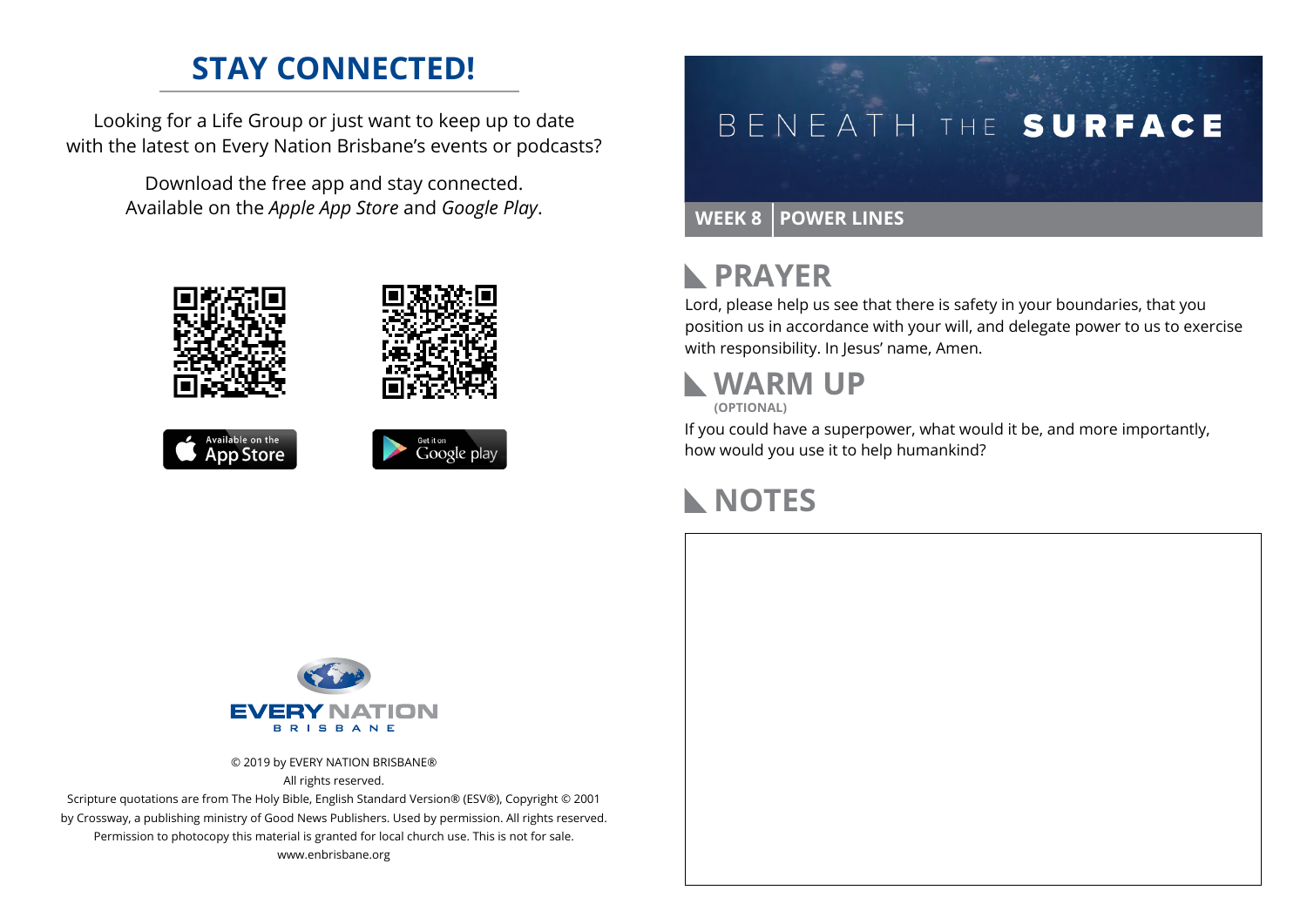### **STAY CONNECTED!**

Looking for a Life Group or just want to keep up to date with the latest on Every Nation Brisbane's events or podcasts?

> Download the free app and stay connected. Available on the *Apple App Store* and *Google Play*.





```
Available on the<br>App Store
```


# BENEATH THE SURFACE

#### **WEEK 8 POWER LINES**

### **RAYER**

Lord, please help us see that there is safety in your boundaries, that you position us in accordance with your will, and delegate power to us to exercise with responsibility. In Jesus' name, Amen.

#### **WARM UP (OPTIONAL)**

If you could have a superpower, what would it be, and more importantly, how would you use it to help humankind?

### **NOTES**



© 2019 by EVERY NATION BRISBANE® All rights reserved.

Scripture quotations are from The Holy Bible, English Standard Version® (ESV®), Copyright © 2001 by Crossway, a publishing ministry of Good News Publishers. Used by permission. All rights reserved. Permission to photocopy this material is granted for local church use. This is not for sale. www.enbrisbane.org